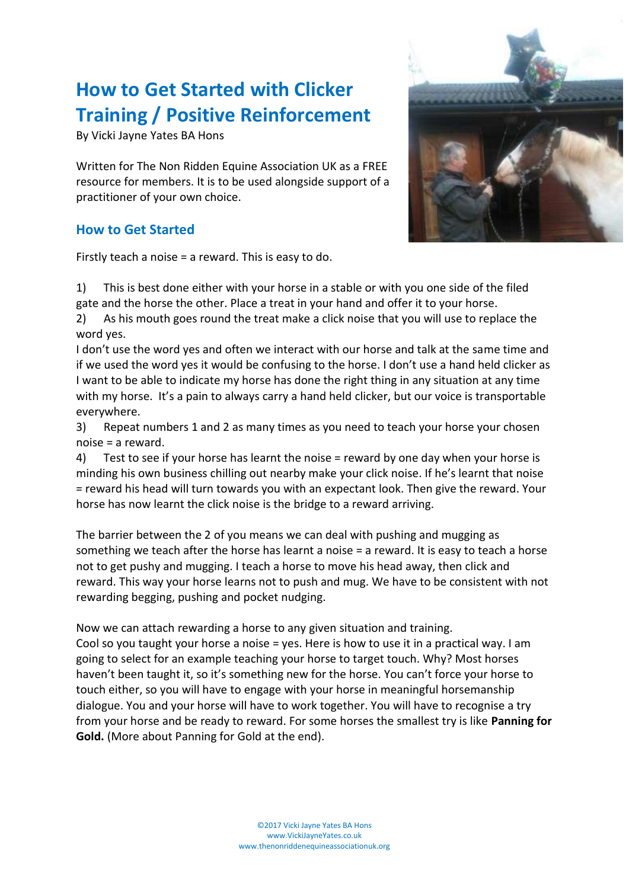# **How to Get Started with Clicker Training / Positive Reinforcement**

By Vicki Jayne Yates BA Hons

Written for The Non Ridden Equine Association UK as a FREE resource for members. It is to be used alongside support of a practitioner of your own choice.

#### **How to Get Started**

Firstly teach a noise = a reward. This is easy to do.



1) This is best done either with your horse in a stable or with you one side of the filed gate and the horse the other. Place a treat in your hand and offer it to your horse.

2) As his mouth goes round the treat make a click noise that you will use to replace the word yes.

I don't use the word yes and often we interact with our horse and talk at the same time and if we used the word yes it would be confusing to the horse. I don't use a hand held clicker as I want to be able to indicate my horse has done the right thing in any situation at any time with my horse. It's a pain to always carry a hand held clicker, but our voice is transportable everywhere.

3) Repeat numbers 1 and 2 as many times as you need to teach your horse your chosen noise = a reward.

4) Test to see if your horse has learnt the noise = reward by one day when your horse is minding his own business chilling out nearby make your click noise. If he's learnt that noise = reward his head will turn towards you with an expectant look. Then give the reward. Your horse has now learnt the click noise is the bridge to a reward arriving.

The barrier between the 2 of you means we can deal with pushing and mugging as something we teach after the horse has learnt a noise = a reward. It is easy to teach a horse not to get pushy and mugging. I teach a horse to move his head away, then click and reward. This way your horse learns not to push and mug. We have to be consistent with not rewarding begging, pushing and pocket nudging.

Now we can attach rewarding a horse to any given situation and training. Cool so you taught your horse a noise = yes. Here is how to use it in a practical way. I am going to select for an example teaching your horse to target touch. Why? Most horses haven't been taught it, so it's something new for the horse. You can't force your horse to touch either, so you will have to engage with your horse in meaningful horsemanship dialogue. You and your horse will have to work together. You will have to recognise a try from your horse and be ready to reward. For some horses the smallest try is like **Panning for Gold.** (More about Panning for Gold at the end).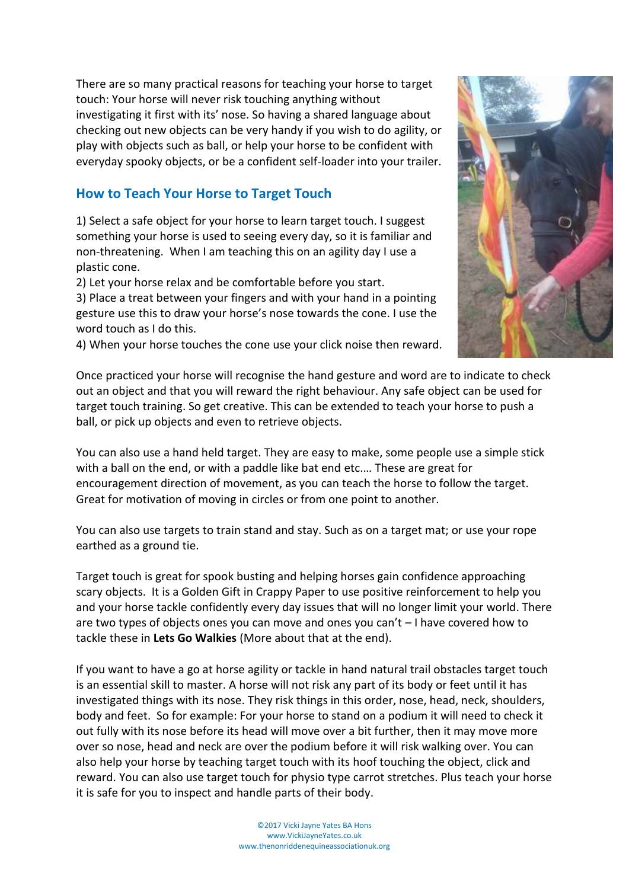There are so many practical reasons for teaching your horse to target touch: Your horse will never risk touching anything without investigating it first with its' nose. So having a shared language about checking out new objects can be very handy if you wish to do agility, or play with objects such as ball, or help your horse to be confident with everyday spooky objects, or be a confident self-loader into your trailer.

## **How to Teach Your Horse to Target Touch**

1) Select a safe object for your horse to learn target touch. I suggest something your horse is used to seeing every day, so it is familiar and non-threatening. When I am teaching this on an agility day I use a plastic cone.

2) Let your horse relax and be comfortable before you start.

3) Place a treat between your fingers and with your hand in a pointing gesture use this to draw your horse's nose towards the cone. I use the word touch as I do this.

4) When your horse touches the cone use your click noise then reward.

Once practiced your horse will recognise the hand gesture and word are to indicate to check out an object and that you will reward the right behaviour. Any safe object can be used for target touch training. So get creative. This can be extended to teach your horse to push a ball, or pick up objects and even to retrieve objects.

You can also use a hand held target. They are easy to make, some people use a simple stick with a ball on the end, or with a paddle like bat end etc.… These are great for encouragement direction of movement, as you can teach the horse to follow the target. Great for motivation of moving in circles or from one point to another.

You can also use targets to train stand and stay. Such as on a target mat; or use your rope earthed as a ground tie.

Target touch is great for spook busting and helping horses gain confidence approaching scary objects. It is a Golden Gift in Crappy Paper to use positive reinforcement to help you and your horse tackle confidently every day issues that will no longer limit your world. There are two types of objects ones you can move and ones you can't – I have covered how to tackle these in **Lets Go Walkies** (More about that at the end).

If you want to have a go at horse agility or tackle in hand natural trail obstacles target touch is an essential skill to master. A horse will not risk any part of its body or feet until it has investigated things with its nose. They risk things in this order, nose, head, neck, shoulders, body and feet. So for example: For your horse to stand on a podium it will need to check it out fully with its nose before its head will move over a bit further, then it may move more over so nose, head and neck are over the podium before it will risk walking over. You can also help your horse by teaching target touch with its hoof touching the object, click and reward. You can also use target touch for physio type carrot stretches. Plus teach your horse it is safe for you to inspect and handle parts of their body.

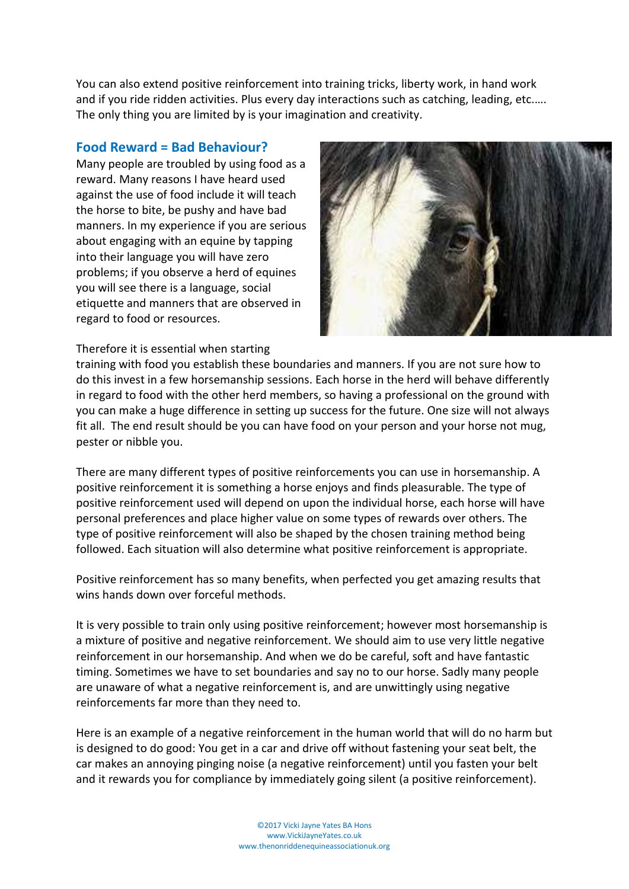You can also extend positive reinforcement into training tricks, liberty work, in hand work and if you ride ridden activities. Plus every day interactions such as catching, leading, etc.…. The only thing you are limited by is your imagination and creativity.

#### **Food Reward = Bad Behaviour?**

Many people are troubled by using food as a reward. Many reasons I have heard used against the use of food include it will teach the horse to bite, be pushy and have bad manners. In my experience if you are serious about engaging with an equine by tapping into their language you will have zero problems; if you observe a herd of equines you will see there is a language, social etiquette and manners that are observed in regard to food or resources.



Therefore it is essential when starting

training with food you establish these boundaries and manners. If you are not sure how to do this invest in a few horsemanship sessions. Each horse in the herd will behave differently in regard to food with the other herd members, so having a professional on the ground with you can make a huge difference in setting up success for the future. One size will not always fit all. The end result should be you can have food on your person and your horse not mug, pester or nibble you.

There are many different types of positive reinforcements you can use in horsemanship. A positive reinforcement it is something a horse enjoys and finds pleasurable. The type of positive reinforcement used will depend on upon the individual horse, each horse will have personal preferences and place higher value on some types of rewards over others. The type of positive reinforcement will also be shaped by the chosen training method being followed. Each situation will also determine what positive reinforcement is appropriate.

Positive reinforcement has so many benefits, when perfected you get amazing results that wins hands down over forceful methods.

It is very possible to train only using positive reinforcement; however most horsemanship is a mixture of positive and negative reinforcement. We should aim to use very little negative reinforcement in our horsemanship. And when we do be careful, soft and have fantastic timing. Sometimes we have to set boundaries and say no to our horse. Sadly many people are unaware of what a negative reinforcement is, and are unwittingly using negative reinforcements far more than they need to.

Here is an example of a negative reinforcement in the human world that will do no harm but is designed to do good: You get in a car and drive off without fastening your seat belt, the car makes an annoying pinging noise (a negative reinforcement) until you fasten your belt and it rewards you for compliance by immediately going silent (a positive reinforcement).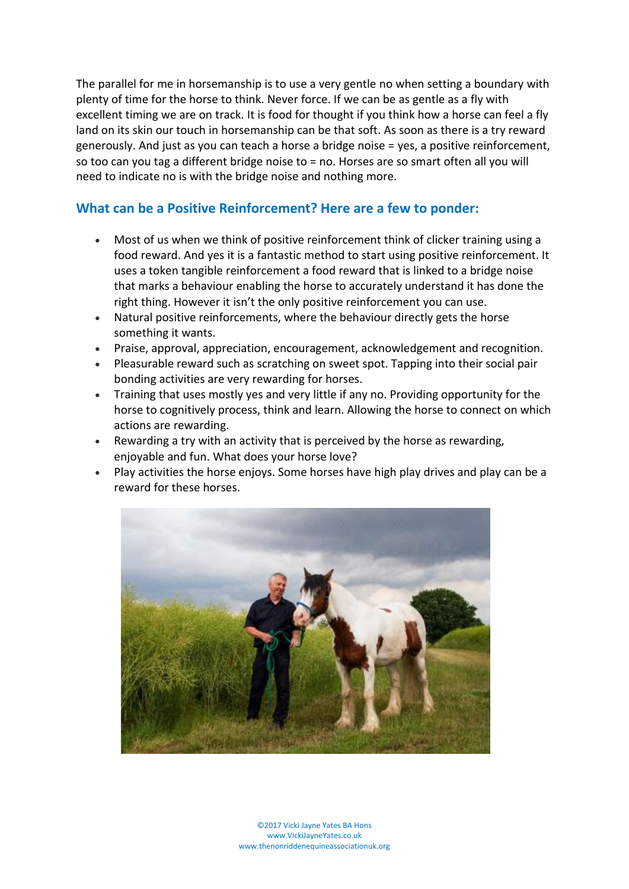The parallel for me in horsemanship is to use a very gentle no when setting a boundary with plenty of time for the horse to think. Never force. If we can be as gentle as a fly with excellent timing we are on track. It is food for thought if you think how a horse can feel a fly land on its skin our touch in horsemanship can be that soft. As soon as there is a try reward generously. And just as you can teach a horse a bridge noise = yes, a positive reinforcement, so too can you tag a different bridge noise to = no. Horses are so smart often all you will need to indicate no is with the bridge noise and nothing more.

#### **What can be a Positive Reinforcement? Here are a few to ponder:**

- Most of us when we think of positive reinforcement think of clicker training using a food reward. And yes it is a fantastic method to start using positive reinforcement. It uses a token tangible reinforcement a food reward that is linked to a bridge noise that marks a behaviour enabling the horse to accurately understand it has done the right thing. However it isn't the only positive reinforcement you can use.
- Natural positive reinforcements, where the behaviour directly gets the horse something it wants.
- Praise, approval, appreciation, encouragement, acknowledgement and recognition.
- Pleasurable reward such as scratching on sweet spot. Tapping into their social pair bonding activities are very rewarding for horses.
- Training that uses mostly yes and very little if any no. Providing opportunity for the horse to cognitively process, think and learn. Allowing the horse to connect on which actions are rewarding.
- Rewarding a try with an activity that is perceived by the horse as rewarding, enjoyable and fun. What does your horse love?
- Play activities the horse enjoys. Some horses have high play drives and play can be a reward for these horses.



©2017 Vicki Jayne Yates BA Hons www.VickiJayneYates.co.uk www.thenonriddenequineassociationuk.org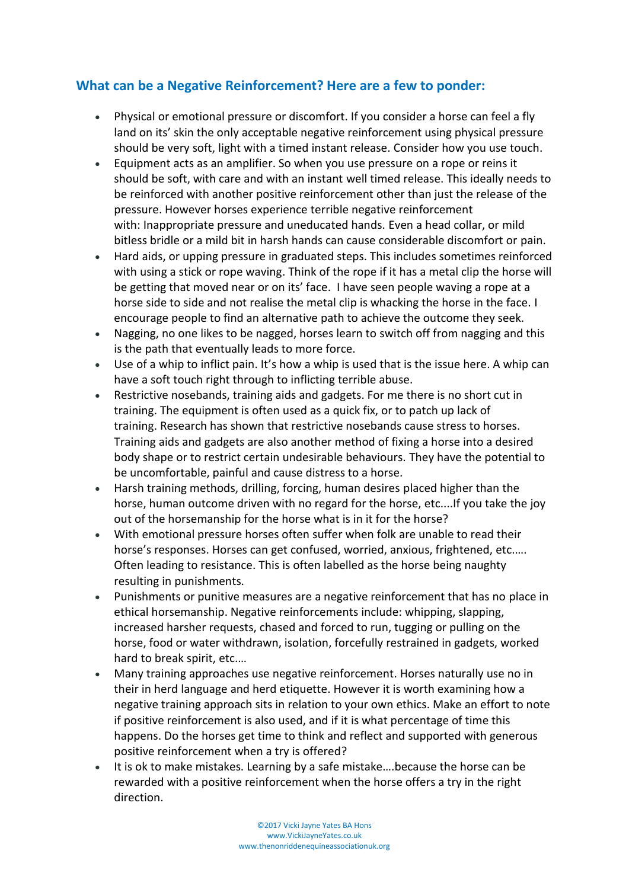### **What can be a Negative Reinforcement? Here are a few to ponder:**

- Physical or emotional pressure or discomfort. If you consider a horse can feel a fly land on its' skin the only acceptable negative reinforcement using physical pressure should be very soft, light with a timed instant release. Consider how you use touch.
- Equipment acts as an amplifier. So when you use pressure on a rope or reins it should be soft, with care and with an instant well timed release. This ideally needs to be reinforced with another positive reinforcement other than just the release of the pressure. However horses experience terrible negative reinforcement with: Inappropriate pressure and uneducated hands. Even a head collar, or mild bitless bridle or a mild bit in harsh hands can cause considerable discomfort or pain.
- Hard aids, or upping pressure in graduated steps. This includes sometimes reinforced with using a stick or rope waving. Think of the rope if it has a metal clip the horse will be getting that moved near or on its' face. I have seen people waving a rope at a horse side to side and not realise the metal clip is whacking the horse in the face. I encourage people to find an alternative path to achieve the outcome they seek.
- Nagging, no one likes to be nagged, horses learn to switch off from nagging and this is the path that eventually leads to more force.
- Use of a whip to inflict pain. It's how a whip is used that is the issue here. A whip can have a soft touch right through to inflicting terrible abuse.
- Restrictive nosebands, training aids and gadgets. For me there is no short cut in training. The equipment is often used as a quick fix, or to patch up lack of training. Research has shown that restrictive nosebands cause stress to horses. Training aids and gadgets are also another method of fixing a horse into a desired body shape or to restrict certain undesirable behaviours. They have the potential to be uncomfortable, painful and cause distress to a horse.
- Harsh training methods, drilling, forcing, human desires placed higher than the horse, human outcome driven with no regard for the horse, etc....If you take the joy out of the horsemanship for the horse what is in it for the horse?
- With emotional pressure horses often suffer when folk are unable to read their horse's responses. Horses can get confused, worried, anxious, frightened, etc.…. Often leading to resistance. This is often labelled as the horse being naughty resulting in punishments.
- Punishments or punitive measures are a negative reinforcement that has no place in ethical horsemanship. Negative reinforcements include: whipping, slapping, increased harsher requests, chased and forced to run, tugging or pulling on the horse, food or water withdrawn, isolation, forcefully restrained in gadgets, worked hard to break spirit, etc.…
- Many training approaches use negative reinforcement. Horses naturally use no in their in herd language and herd etiquette. However it is worth examining how a negative training approach sits in relation to your own ethics. Make an effort to note if positive reinforcement is also used, and if it is what percentage of time this happens. Do the horses get time to think and reflect and supported with generous positive reinforcement when a try is offered?
- It is ok to make mistakes. Learning by a safe mistake….because the horse can be rewarded with a positive reinforcement when the horse offers a try in the right direction.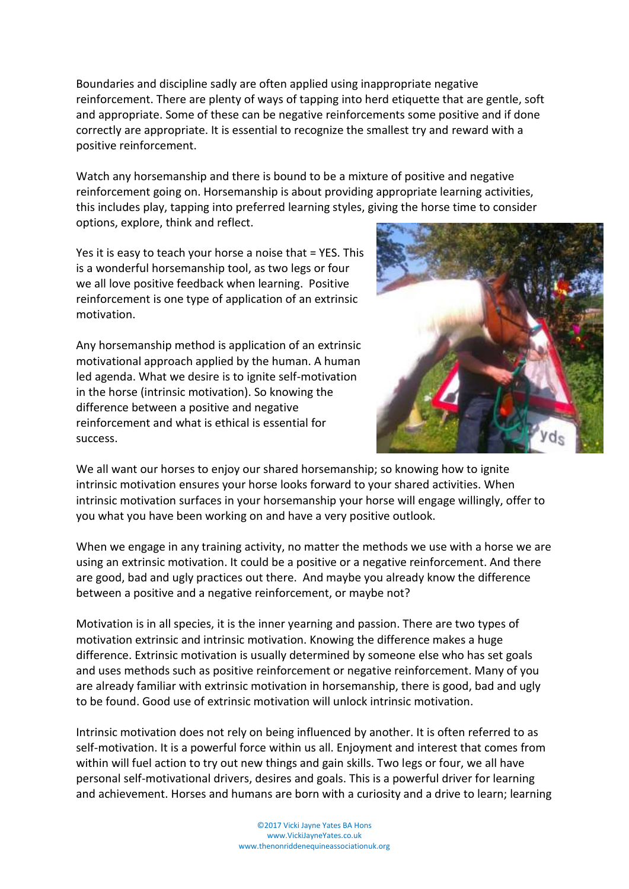©2017 Vicki Jayne Yates BA Hons www.VickiJayneYates.co.uk

www.thenonriddenequineassociationuk.org

Boundaries and discipline sadly are often applied using inappropriate negative reinforcement. There are plenty of ways of tapping into herd etiquette that are gentle, soft and appropriate. Some of these can be negative reinforcements some positive and if done correctly are appropriate. It is essential to recognize the smallest try and reward with a positive reinforcement.

Watch any horsemanship and there is bound to be a mixture of positive and negative reinforcement going on. Horsemanship is about providing appropriate learning activities, this includes play, tapping into preferred learning styles, giving the horse time to consider options, explore, think and reflect.

Yes it is easy to teach your horse a noise that = YES. This is a wonderful horsemanship tool, as two legs or four we all love positive feedback when learning. Positive reinforcement is one type of application of an extrinsic motivation.

Any horsemanship method is application of an extrinsic motivational approach applied by the human. A human led agenda. What we desire is to ignite self-motivation in the horse (intrinsic motivation). So knowing the difference between a positive and negative reinforcement and what is ethical is essential for success.

We all want our horses to enjoy our shared horsemanship; so knowing how to ignite intrinsic motivation ensures your horse looks forward to your shared activities. When intrinsic motivation surfaces in your horsemanship your horse will engage willingly, offer to you what you have been working on and have a very positive outlook.

When we engage in any training activity, no matter the methods we use with a horse we are using an extrinsic motivation. It could be a positive or a negative reinforcement. And there are good, bad and ugly practices out there. And maybe you already know the difference between a positive and a negative reinforcement, or maybe not?

Motivation is in all species, it is the inner yearning and passion. There are two types of motivation extrinsic and intrinsic motivation. Knowing the difference makes a huge difference. Extrinsic motivation is usually determined by someone else who has set goals and uses methods such as positive reinforcement or negative reinforcement. Many of you are already familiar with extrinsic motivation in horsemanship, there is good, bad and ugly to be found. Good use of extrinsic motivation will unlock intrinsic motivation.

Intrinsic motivation does not rely on being influenced by another. It is often referred to as self-motivation. It is a powerful force within us all. Enjoyment and interest that comes from within will fuel action to try out new things and gain skills. Two legs or four, we all have personal self-motivational drivers, desires and goals. This is a powerful driver for learning and achievement. Horses and humans are born with a curiosity and a drive to learn; learning

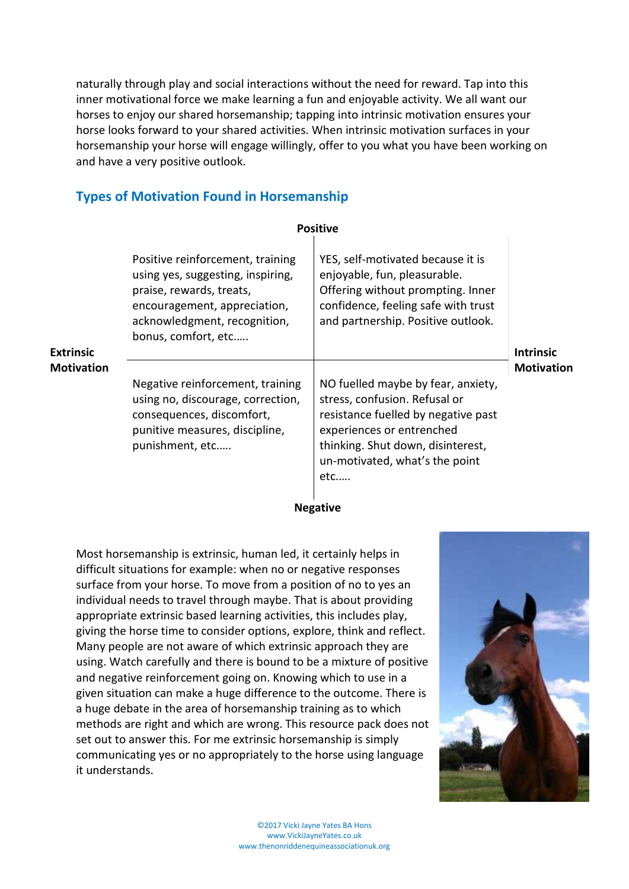naturally through play and social interactions without the need for reward. Tap into this inner motivational force we make learning a fun and enjoyable activity. We all want our horses to enjoy our shared horsemanship; tapping into intrinsic motivation ensures your horse looks forward to your shared activities. When intrinsic motivation surfaces in your horsemanship your horse will engage willingly, offer to you what you have been working on and have a very positive outlook.

### **Types of Motivation Found in Horsemanship**

|                                       |                                                                                                                                                                                          | <b>Positive</b>                                                                                                                                                                                                          |                                       |
|---------------------------------------|------------------------------------------------------------------------------------------------------------------------------------------------------------------------------------------|--------------------------------------------------------------------------------------------------------------------------------------------------------------------------------------------------------------------------|---------------------------------------|
| <b>Extrinsic</b><br><b>Motivation</b> | Positive reinforcement, training<br>using yes, suggesting, inspiring,<br>praise, rewards, treats,<br>encouragement, appreciation,<br>acknowledgment, recognition,<br>bonus, comfort, etc | YES, self-motivated because it is<br>enjoyable, fun, pleasurable.<br>Offering without prompting. Inner<br>confidence, feeling safe with trust<br>and partnership. Positive outlook.                                      | <b>Intrinsic</b><br><b>Motivation</b> |
|                                       | Negative reinforcement, training<br>using no, discourage, correction,<br>consequences, discomfort,<br>punitive measures, discipline,<br>punishment, etc                                  | NO fuelled maybe by fear, anxiety,<br>stress, confusion. Refusal or<br>resistance fuelled by negative past<br>experiences or entrenched<br>thinking. Shut down, disinterest,<br>un-motivated, what's the point<br>$etc.$ |                                       |

**Negative**

Most horsemanship is extrinsic, human led, it certainly helps in difficult situations for example: when no or negative responses surface from your horse. To move from a position of no to yes an individual needs to travel through maybe. That is about providing appropriate extrinsic based learning activities, this includes play, giving the horse time to consider options, explore, think and reflect. Many people are not aware of which extrinsic approach they are using. Watch carefully and there is bound to be a mixture of positive and negative reinforcement going on. Knowing which to use in a given situation can make a huge difference to the outcome. There is a huge debate in the area of horsemanship training as to which methods are right and which are wrong. This resource pack does not set out to answer this. For me extrinsic horsemanship is simply communicating yes or no appropriately to the horse using language it understands.

![](_page_6_Picture_5.jpeg)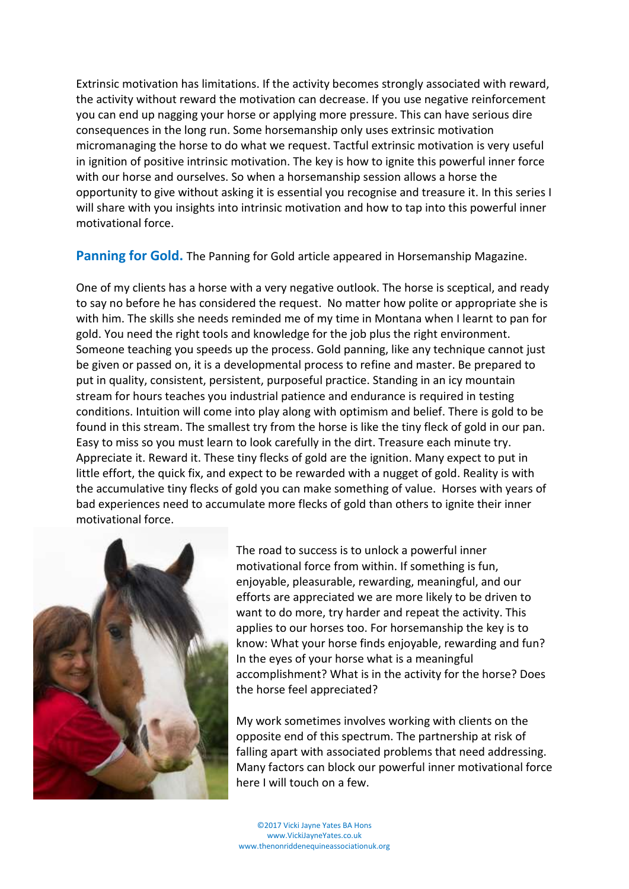Extrinsic motivation has limitations. If the activity becomes strongly associated with reward, the activity without reward the motivation can decrease. If you use negative reinforcement you can end up nagging your horse or applying more pressure. This can have serious dire consequences in the long run. Some horsemanship only uses extrinsic motivation micromanaging the horse to do what we request. Tactful extrinsic motivation is very useful in ignition of positive intrinsic motivation. The key is how to ignite this powerful inner force with our horse and ourselves. So when a horsemanship session allows a horse the opportunity to give without asking it is essential you recognise and treasure it. In this series I will share with you insights into intrinsic motivation and how to tap into this powerful inner motivational force.

**Panning for Gold.** The Panning for Gold article appeared in Horsemanship Magazine.

One of my clients has a horse with a very negative outlook. The horse is sceptical, and ready to say no before he has considered the request. No matter how polite or appropriate she is with him. The skills she needs reminded me of my time in Montana when I learnt to pan for gold. You need the right tools and knowledge for the job plus the right environment. Someone teaching you speeds up the process. Gold panning, like any technique cannot just be given or passed on, it is a developmental process to refine and master. Be prepared to put in quality, consistent, persistent, purposeful practice. Standing in an icy mountain stream for hours teaches you industrial patience and endurance is required in testing conditions. Intuition will come into play along with optimism and belief. There is gold to be found in this stream. The smallest try from the horse is like the tiny fleck of gold in our pan. Easy to miss so you must learn to look carefully in the dirt. Treasure each minute try. Appreciate it. Reward it. These tiny flecks of gold are the ignition. Many expect to put in little effort, the quick fix, and expect to be rewarded with a nugget of gold. Reality is with the accumulative tiny flecks of gold you can make something of value. Horses with years of bad experiences need to accumulate more flecks of gold than others to ignite their inner motivational force.

![](_page_7_Picture_3.jpeg)

The road to success is to unlock a powerful inner motivational force from within. If something is fun, enjoyable, pleasurable, rewarding, meaningful, and our efforts are appreciated we are more likely to be driven to want to do more, try harder and repeat the activity. This applies to our horses too. For horsemanship the key is to know: What your horse finds enjoyable, rewarding and fun? In the eyes of your horse what is a meaningful accomplishment? What is in the activity for the horse? Does the horse feel appreciated?

My work sometimes involves working with clients on the opposite end of this spectrum. The partnership at risk of falling apart with associated problems that need addressing. Many factors can block our powerful inner motivational force here I will touch on a few.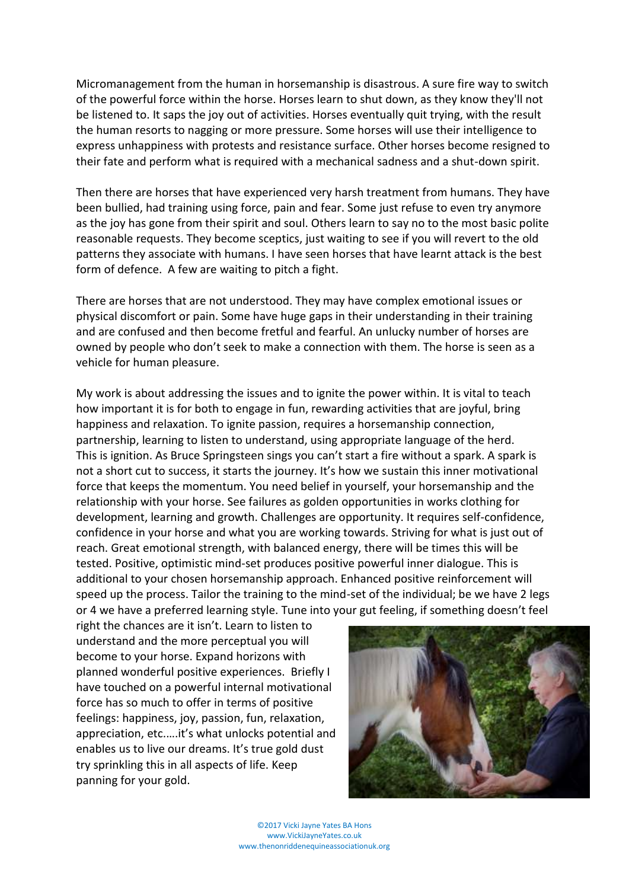Micromanagement from the human in horsemanship is disastrous. A sure fire way to switch of the powerful force within the horse. Horses learn to shut down, as they know they'll not be listened to. It saps the joy out of activities. Horses eventually quit trying, with the result the human resorts to nagging or more pressure. Some horses will use their intelligence to express unhappiness with protests and resistance surface. Other horses become resigned to their fate and perform what is required with a mechanical sadness and a shut-down spirit.

Then there are horses that have experienced very harsh treatment from humans. They have been bullied, had training using force, pain and fear. Some just refuse to even try anymore as the joy has gone from their spirit and soul. Others learn to say no to the most basic polite reasonable requests. They become sceptics, just waiting to see if you will revert to the old patterns they associate with humans. I have seen horses that have learnt attack is the best form of defence. A few are waiting to pitch a fight.

There are horses that are not understood. They may have complex emotional issues or physical discomfort or pain. Some have huge gaps in their understanding in their training and are confused and then become fretful and fearful. An unlucky number of horses are owned by people who don't seek to make a connection with them. The horse is seen as a vehicle for human pleasure.

My work is about addressing the issues and to ignite the power within. It is vital to teach how important it is for both to engage in fun, rewarding activities that are joyful, bring happiness and relaxation. To ignite passion, requires a horsemanship connection, partnership, learning to listen to understand, using appropriate language of the herd. This is ignition. As Bruce Springsteen sings you can't start a fire without a spark. A spark is not a short cut to success, it starts the journey. It's how we sustain this inner motivational force that keeps the momentum. You need belief in yourself, your horsemanship and the relationship with your horse. See failures as golden opportunities in works clothing for development, learning and growth. Challenges are opportunity. It requires self-confidence, confidence in your horse and what you are working towards. Striving for what is just out of reach. Great emotional strength, with balanced energy, there will be times this will be tested. Positive, optimistic mind-set produces positive powerful inner dialogue. This is additional to your chosen horsemanship approach. Enhanced positive reinforcement will speed up the process. Tailor the training to the mind-set of the individual; be we have 2 legs or 4 we have a preferred learning style. Tune into your gut feeling, if something doesn't feel

right the chances are it isn't. Learn to listen to understand and the more perceptual you will become to your horse. Expand horizons with planned wonderful positive experiences. Briefly I have touched on a powerful internal motivational force has so much to offer in terms of positive feelings: happiness, joy, passion, fun, relaxation, appreciation, etc.….it's what unlocks potential and enables us to live our dreams. It's true gold dust try sprinkling this in all aspects of life. Keep panning for your gold.

![](_page_8_Picture_5.jpeg)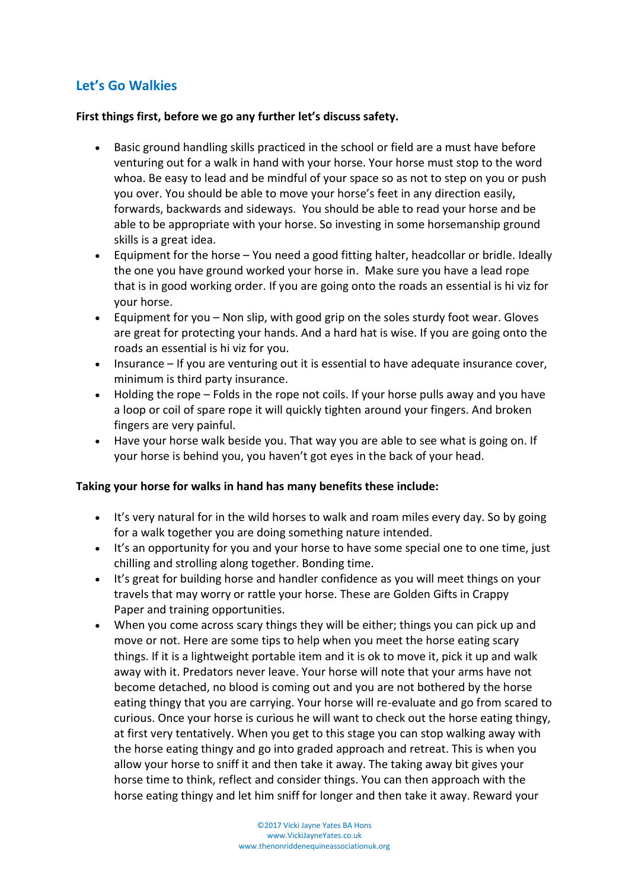## **Let's Go Walkies**

#### **First things first, before we go any further let's discuss safety.**

- Basic ground handling skills practiced in the school or field are a must have before venturing out for a walk in hand with your horse. Your horse must stop to the word whoa. Be easy to lead and be mindful of your space so as not to step on you or push you over. You should be able to move your horse's feet in any direction easily, forwards, backwards and sideways. You should be able to read your horse and be able to be appropriate with your horse. So investing in some horsemanship ground skills is a great idea.
- Equipment for the horse You need a good fitting halter, headcollar or bridle. Ideally the one you have ground worked your horse in. Make sure you have a lead rope that is in good working order. If you are going onto the roads an essential is hi viz for your horse.
- Equipment for you Non slip, with good grip on the soles sturdy foot wear. Gloves are great for protecting your hands. And a hard hat is wise. If you are going onto the roads an essential is hi viz for you.
- Insurance If you are venturing out it is essential to have adequate insurance cover, minimum is third party insurance.
- Holding the rope Folds in the rope not coils. If your horse pulls away and you have a loop or coil of spare rope it will quickly tighten around your fingers. And broken fingers are very painful.
- Have your horse walk beside you. That way you are able to see what is going on. If your horse is behind you, you haven't got eyes in the back of your head.

#### **Taking your horse for walks in hand has many benefits these include:**

- It's very natural for in the wild horses to walk and roam miles every day. So by going for a walk together you are doing something nature intended.
- It's an opportunity for you and your horse to have some special one to one time, just chilling and strolling along together. Bonding time.
- It's great for building horse and handler confidence as you will meet things on your travels that may worry or rattle your horse. These are [Golden Gifts in Crappy](http://www.vickijayneyates.co.uk/blog/read_165695/golden-gifts-in-crappy-paper.html)  [Paper](http://www.vickijayneyates.co.uk/blog/read_165695/golden-gifts-in-crappy-paper.html) and training opportunities.
- When you come across scary things they will be either; things you can pick up and move or not. Here are some tips to help when you meet the horse eating scary things. If it is a lightweight portable item and it is ok to move it, pick it up and walk away with it. Predators never leave. Your horse will note that your arms have not become detached, no blood is coming out and you are not bothered by the horse eating thingy that you are carrying. Your horse will re-evaluate and go from scared to curious. Once your horse is curious he will want to check out the horse eating thingy, at first very tentatively. When you get to this stage you can stop walking away with the horse eating thingy and go into graded approach and retreat. This is when you allow your horse to sniff it and then take it away. The taking away bit gives your horse time to think, reflect and consider things. You can then approach with the horse eating thingy and let him sniff for longer and then take it away. Reward your